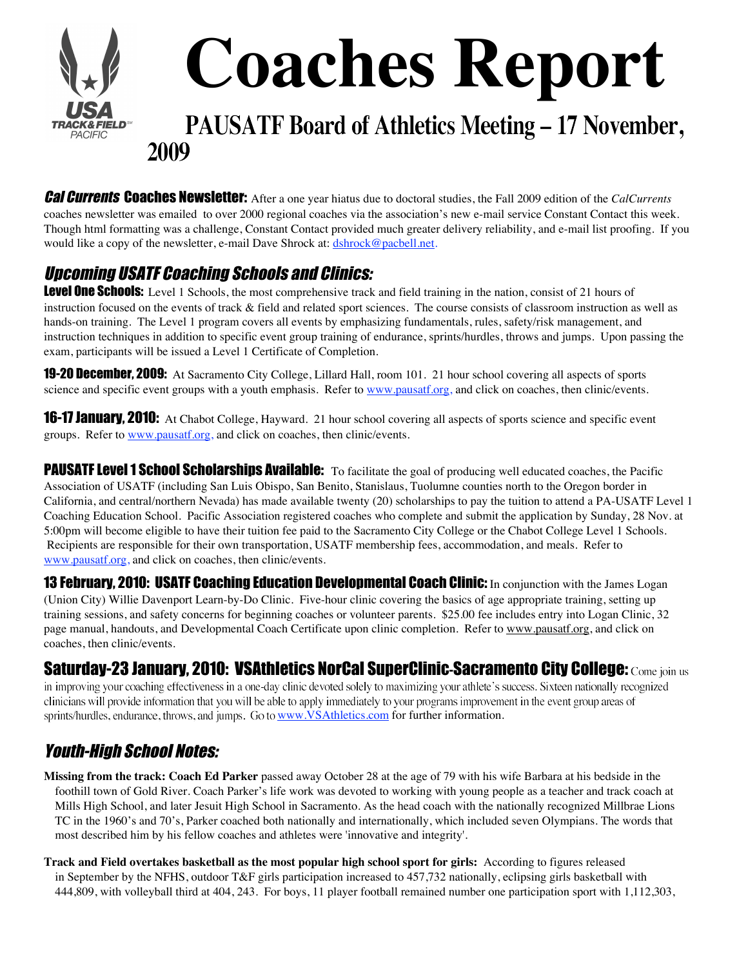

Cal Currents Coaches Newsletter: After a one year hiatus due to doctoral studies, the Fall 2009 edition of the *CalCurrents* coaches newsletter was emailed to over 2000 regional coaches via the association's new e-mail service Constant Contact this week. Though html formatting was a challenge, Constant Contact provided much greater delivery reliability, and e-mail list proofing. If you would like a copy of the newsletter, e-mail Dave Shrock at: dshrock@pacbell.net.

# Upcoming USATF Coaching Schools and Clinics:

Level One Schools: Level 1 Schools, the most comprehensive track and field training in the nation, consist of 21 hours of instruction focused on the events of track & field and related sport sciences. The course consists of classroom instruction as well as hands-on training. The Level 1 program covers all events by emphasizing fundamentals, rules, safety/risk management, and instruction techniques in addition to specific event group training of endurance, sprints/hurdles, throws and jumps. Upon passing the exam, participants will be issued a Level 1 Certificate of Completion.

19-20 December, 2009: At Sacramento City College, Lillard Hall, room 101. 21 hour school covering all aspects of sports science and specific event groups with a youth emphasis. Refer to www.pausatf.org, and click on coaches, then clinic/events.

**16-17 January, 2010:** At Chabot College, Hayward. 21 hour school covering all aspects of sports science and specific event groups. Refer to www.pausatf.org, and click on coaches, then clinic/events.

PAUSATF Level 1 School Scholarships Available: To facilitate the goal of producing well educated coaches, the Pacific Association of USATF (including San Luis Obispo, San Benito, Stanislaus, Tuolumne counties north to the Oregon border in California, and central/northern Nevada) has made available twenty (20) scholarships to pay the tuition to attend a PA-USATF Level 1 Coaching Education School. Pacific Association registered coaches who complete and submit the application by Sunday, 28 Nov. at 5:00pm will become eligible to have their tuition fee paid to the Sacramento City College or the Chabot College Level 1 Schools. Recipients are responsible for their own transportation, USATF membership fees, accommodation, and meals. Refer to www.pausatf.org, and click on coaches, then clinic/events.

**13 February, 2010: USATF Coaching Education Developmental Coach Clinic:** In conjunction with the James Logan (Union City) Willie Davenport Learn-by-Do Clinic. Five-hour clinic covering the basics of age appropriate training, setting up training sessions, and safety concerns for beginning coaches or volunteer parents. \$25.00 fee includes entry into Logan Clinic, 32 page manual, handouts, and Developmental Coach Certificate upon clinic completion. Refer to www.pausatf.org, and click on coaches, then clinic/events.

## Saturday-23 January, 2010: VSAthletics NorCal SuperClinic-Sacramento City College: Come join us

in improving your coaching effectiveness in a one-day clinic devoted solely to maximizing your athlete's success. Sixteen nationally recognized clinicians will provide information that you will be able to apply immediately to your programs improvement in the event group areas of sprints/hurdles, endurance, throws, and jumps. Go to www.VSAthletics.com for further information.

# Youth-High School Notes:

**Missing from the track: Coach Ed Parker** passed away October 28 at the age of 79 with his wife Barbara at his bedside in the foothill town of Gold River. Coach Parker's life work was devoted to working with young people as a teacher and track coach at Mills High School, and later Jesuit High School in Sacramento. As the head coach with the nationally recognized Millbrae Lions TC in the 1960's and 70's, Parker coached both nationally and internationally, which included seven Olympians. The words that most described him by his fellow coaches and athletes were 'innovative and integrity'.

**Track and Field overtakes basketball as the most popular high school sport for girls:** According to figures released in September by the NFHS, outdoor T&F girls participation increased to 457,732 nationally, eclipsing girls basketball with 444,809, with volleyball third at 404, 243. For boys, 11 player football remained number one participation sport with 1,112,303,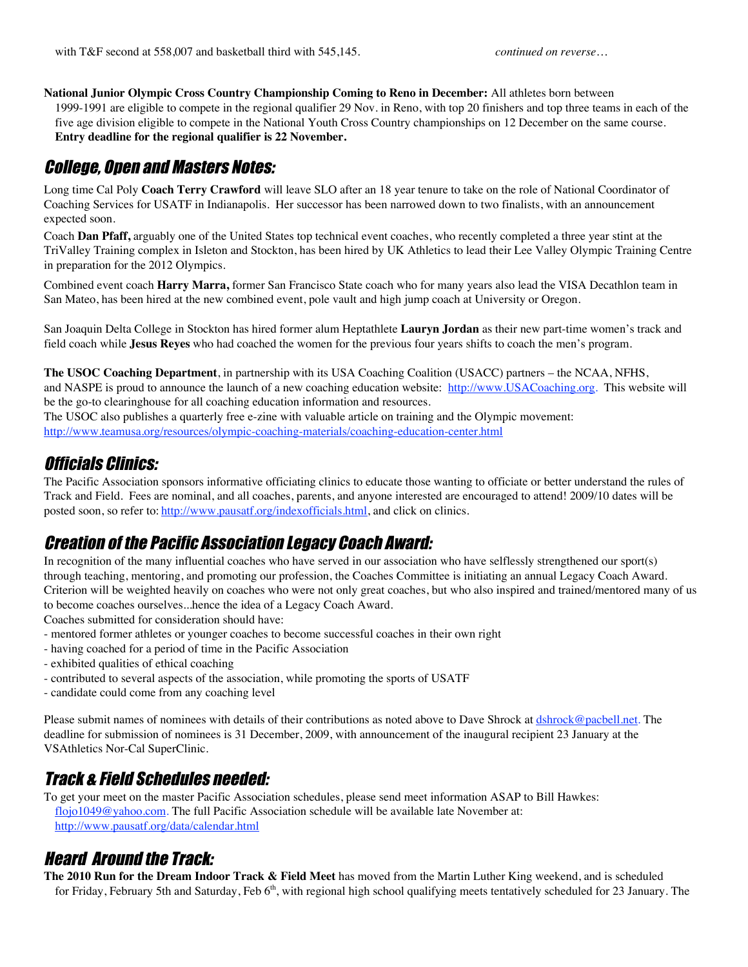#### **National Junior Olympic Cross Country Championship Coming to Reno in December:** All athletes born between 1999-1991 are eligible to compete in the regional qualifier 29 Nov. in Reno, with top 20 finishers and top three teams in each of the five age division eligible to compete in the National Youth Cross Country championships on 12 December on the same course.

**Entry deadline for the regional qualifier is 22 November.**

## College, Open and Masters Notes:

Long time Cal Poly **Coach Terry Crawford** will leave SLO after an 18 year tenure to take on the role of National Coordinator of Coaching Services for USATF in Indianapolis. Her successor has been narrowed down to two finalists, with an announcement expected soon.

Coach **Dan Pfaff,** arguably one of the United States top technical event coaches, who recently completed a three year stint at the TriValley Training complex in Isleton and Stockton, has been hired by UK Athletics to lead their Lee Valley Olympic Training Centre in preparation for the 2012 Olympics.

Combined event coach **Harry Marra,** former San Francisco State coach who for many years also lead the VISA Decathlon team in San Mateo, has been hired at the new combined event, pole vault and high jump coach at University or Oregon.

San Joaquin Delta College in Stockton has hired former alum Heptathlete **Lauryn Jordan** as their new part-time women's track and field coach while **Jesus Reyes** who had coached the women for the previous four years shifts to coach the men's program.

**The USOC Coaching Department**, in partnership with its USA Coaching Coalition (USACC) partners – the NCAA, NFHS, and NASPE is proud to announce the launch of a new coaching education website: http://www.USACoaching.org. This website will be the go-to clearinghouse for all coaching education information and resources.

The USOC also publishes a quarterly free e-zine with valuable article on training and the Olympic movement: http://www.teamusa.org/resources/olympic-coaching-materials/coaching-education-center.html

#### Officials Clinics:

The Pacific Association sponsors informative officiating clinics to educate those wanting to officiate or better understand the rules of Track and Field. Fees are nominal, and all coaches, parents, and anyone interested are encouraged to attend! 2009/10 dates will be posted soon, so refer to: http://www.pausatf.org/indexofficials.html, and click on clinics.

#### Creation of the Pacific Association Legacy Coach Award:

In recognition of the many influential coaches who have served in our association who have selflessly strengthened our sport(s) through teaching, mentoring, and promoting our profession, the Coaches Committee is initiating an annual Legacy Coach Award. Criterion will be weighted heavily on coaches who were not only great coaches, but who also inspired and trained/mentored many of us to become coaches ourselves...hence the idea of a Legacy Coach Award.

Coaches submitted for consideration should have:

- mentored former athletes or younger coaches to become successful coaches in their own right
- having coached for a period of time in the Pacific Association
- exhibited qualities of ethical coaching
- contributed to several aspects of the association, while promoting the sports of USATF
- candidate could come from any coaching level

Please submit names of nominees with details of their contributions as noted above to Dave Shrock at dshrock@pacbell.net. The deadline for submission of nominees is 31 December, 2009, with announcement of the inaugural recipient 23 January at the VSAthletics Nor-Cal SuperClinic.

# Track & Field Schedules needed:

To get your meet on the master Pacific Association schedules, please send meet information ASAP to Bill Hawkes: flojo1049@yahoo.com. The full Pacific Association schedule will be available late November at: http://www.pausatf.org/data/calendar.html

## Heard Around the Track:

**The 2010 Run for the Dream Indoor Track & Field Meet** has moved from the Martin Luther King weekend, and is scheduled for Friday, February 5th and Saturday, Feb 6<sup>th</sup>, with regional high school qualifying meets tentatively scheduled for 23 January. The